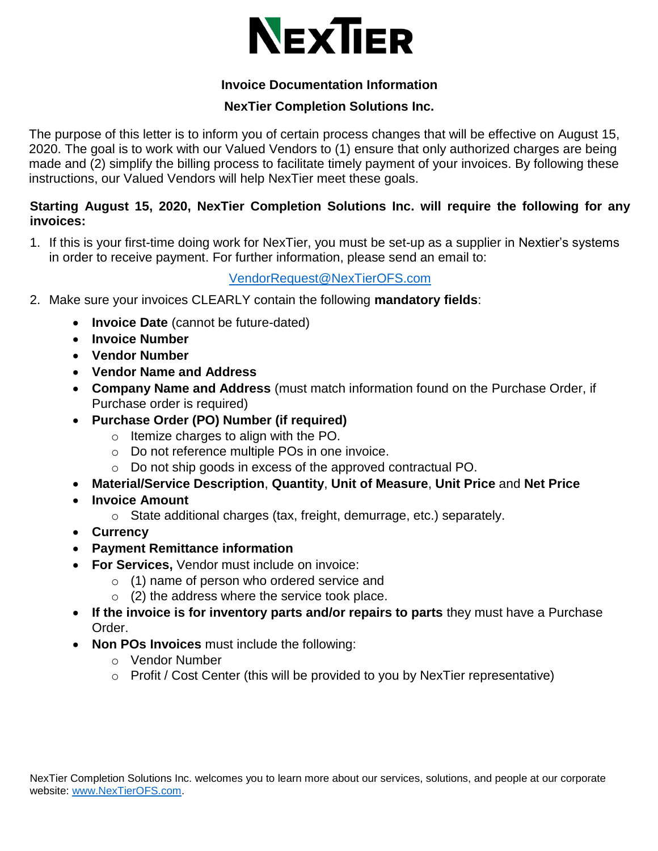

## **Invoice Documentation Information**

## **NexTier Completion Solutions Inc.**

The purpose of this letter is to inform you of certain process changes that will be effective on August 15, 2020. The goal is to work with our Valued Vendors to (1) ensure that only authorized charges are being made and (2) simplify the billing process to facilitate timely payment of your invoices. By following these instructions, our Valued Vendors will help NexTier meet these goals.

## **Starting August 15, 2020, NexTier Completion Solutions Inc. will require the following for any invoices:**

1. If this is your first-time doing work for NexTier, you must be set-up as a supplier in Nextier's systems in order to receive payment. For further information, please send an email to:

## [VendorRequest@NexTierOFS.com](mailto:VendorRequest@NexTierOFS.com)

- 2. Make sure your invoices CLEARLY contain the following **mandatory fields**:
	- **Invoice Date** (cannot be future-dated)
	- **Invoice Number**
	- **Vendor Number**
	- **Vendor Name and Address**
	- **Company Name and Address** (must match information found on the Purchase Order, if Purchase order is required)
	- **Purchase Order (PO) Number (if required)** 
		- o Itemize charges to align with the PO.
		- o Do not reference multiple POs in one invoice.
		- o Do not ship goods in excess of the approved contractual PO.
	- **Material/Service Description**, **Quantity**, **Unit of Measure**, **Unit Price** and **Net Price**
	- **Invoice Amount**
		- o State additional charges (tax, freight, demurrage, etc.) separately.
	- **Currency**
	- **Payment Remittance information**
	- **For Services,** Vendor must include on invoice:
		- $\circ$  (1) name of person who ordered service and
			- $\circ$  (2) the address where the service took place.
	- **If the invoice is for inventory parts and/or repairs to parts** they must have a Purchase Order.
	- **Non POs Invoices** must include the following:
		- o Vendor Number
		- $\circ$  Profit / Cost Center (this will be provided to you by NexTier representative)